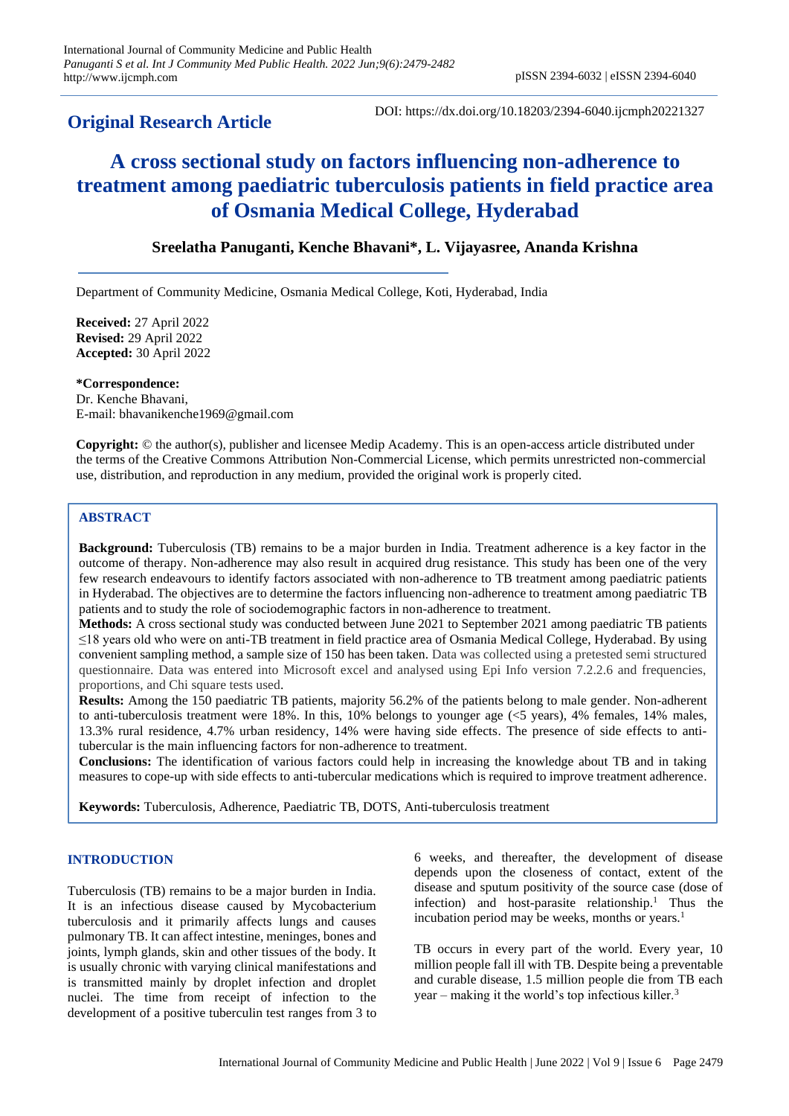## **Original Research Article**

DOI: https://dx.doi.org/10.18203/2394-6040.ijcmph20221327

# **A cross sectional study on factors influencing non-adherence to treatment among paediatric tuberculosis patients in field practice area of Osmania Medical College, Hyderabad**

## **Sreelatha Panuganti, Kenche Bhavani\*, L. Vijayasree, Ananda Krishna**

Department of Community Medicine, Osmania Medical College, Koti, Hyderabad, India

**Received:** 27 April 2022 **Revised:** 29 April 2022 **Accepted:** 30 April 2022

**\*Correspondence:** Dr. Kenche Bhavani, E-mail: bhavanikenche1969@gmail.com

**Copyright:** © the author(s), publisher and licensee Medip Academy. This is an open-access article distributed under the terms of the Creative Commons Attribution Non-Commercial License, which permits unrestricted non-commercial use, distribution, and reproduction in any medium, provided the original work is properly cited.

### **ABSTRACT**

**Background:** Tuberculosis (TB) remains to be a major burden in India. Treatment adherence is a key factor in the outcome of therapy. Non-adherence may also result in acquired drug resistance. This study has been one of the very few research endeavours to identify factors associated with non-adherence to TB treatment among paediatric patients in Hyderabad. The objectives are to determine the factors influencing non-adherence to treatment among paediatric TB patients and to study the role of sociodemographic factors in non-adherence to treatment.

**Methods:** A cross sectional study was conducted between June 2021 to September 2021 among paediatric TB patients ≤18 years old who were on anti-TB treatment in field practice area of Osmania Medical College, Hyderabad. By using convenient sampling method, a sample size of 150 has been taken. Data was collected using a pretested semi structured questionnaire. Data was entered into Microsoft excel and analysed using Epi Info version 7.2.2.6 and frequencies, proportions, and Chi square tests used.

**Results:** Among the 150 paediatric TB patients, majority 56.2% of the patients belong to male gender. Non-adherent to anti-tuberculosis treatment were 18%. In this, 10% belongs to younger age  $(<5$  years), 4% females, 14% males, 13.3% rural residence, 4.7% urban residency, 14% were having side effects. The presence of side effects to antitubercular is the main influencing factors for non-adherence to treatment.

**Conclusions:** The identification of various factors could help in increasing the knowledge about TB and in taking measures to cope-up with side effects to anti-tubercular medications which is required to improve treatment adherence.

**Keywords:** Tuberculosis, Adherence, Paediatric TB, DOTS, Anti-tuberculosis treatment

#### **INTRODUCTION**

Tuberculosis (TB) remains to be a major burden in India. It is an infectious disease caused by Mycobacterium tuberculosis and it primarily affects lungs and causes pulmonary TB. It can affect intestine, meninges, bones and joints, lymph glands, skin and other tissues of the body. It is usually chronic with varying clinical manifestations and is transmitted mainly by droplet infection and droplet nuclei. The time from receipt of infection to the development of a positive tuberculin test ranges from 3 to 6 weeks, and thereafter, the development of disease depends upon the closeness of contact, extent of the disease and sputum positivity of the source case (dose of infection) and host-parasite relationship.<sup>1</sup> Thus the incubation period may be weeks, months or years. $<sup>1</sup>$ </sup>

TB occurs in every part of the world. Every year, 10 million people fall ill with TB. Despite being a preventable and curable disease, 1.5 million people die from TB each year – making it the world's top infectious killer.<sup>3</sup>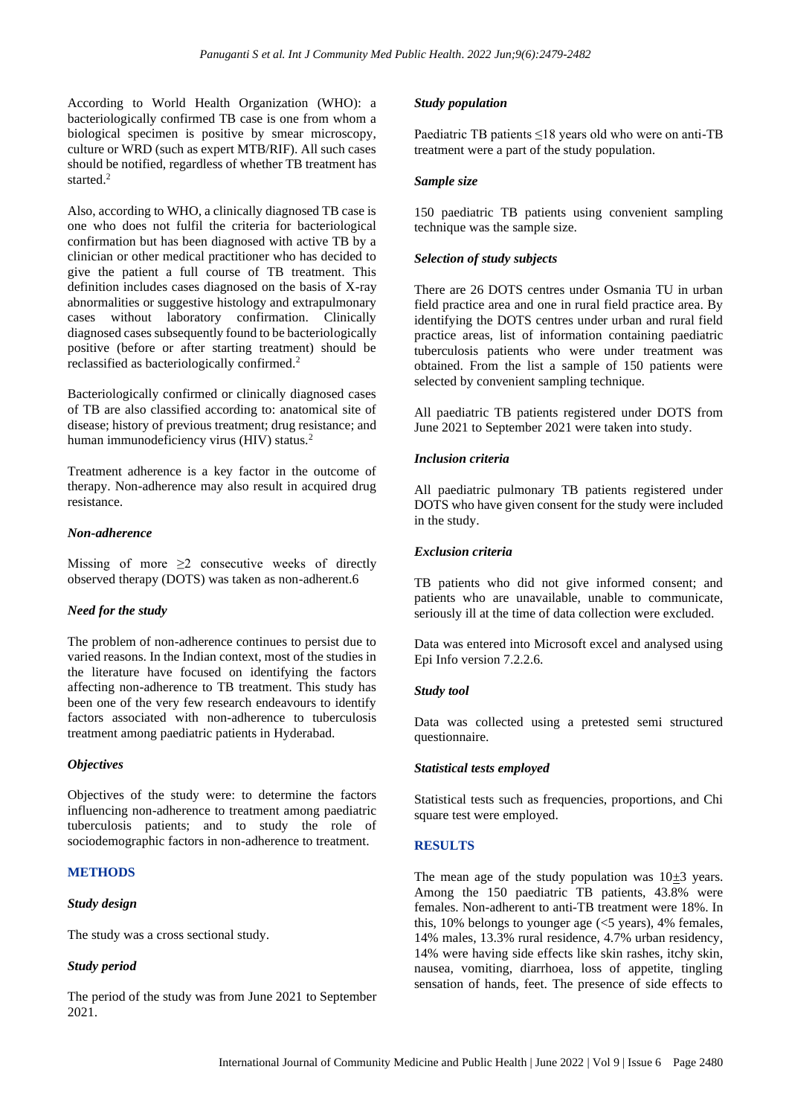According to World Health Organization (WHO): a bacteriologically confirmed TB case is one from whom a biological specimen is positive by smear microscopy, culture or WRD (such as expert MTB/RIF). All such cases should be notified, regardless of whether TB treatment has started.<sup>2</sup>

Also, according to WHO, a clinically diagnosed TB case is one who does not fulfil the criteria for bacteriological confirmation but has been diagnosed with active TB by a clinician or other medical practitioner who has decided to give the patient a full course of TB treatment. This definition includes cases diagnosed on the basis of X-ray abnormalities or suggestive histology and extrapulmonary cases without laboratory confirmation. Clinically diagnosed cases subsequently found to be bacteriologically positive (before or after starting treatment) should be reclassified as bacteriologically confirmed.<sup>2</sup>

Bacteriologically confirmed or clinically diagnosed cases of TB are also classified according to: anatomical site of disease; history of previous treatment; drug resistance; and human immunodeficiency virus (HIV) status.<sup>2</sup>

Treatment adherence is a key factor in the outcome of therapy. Non-adherence may also result in acquired drug resistance.

#### *Non-adherence*

Missing of more  $\geq 2$  consecutive weeks of directly observed therapy (DOTS) was taken as non-adherent.6

#### *Need for the study*

The problem of non-adherence continues to persist due to varied reasons. In the Indian context, most of the studies in the literature have focused on identifying the factors affecting non-adherence to TB treatment. This study has been one of the very few research endeavours to identify factors associated with non-adherence to tuberculosis treatment among paediatric patients in Hyderabad.

#### *Objectives*

Objectives of the study were: to determine the factors influencing non-adherence to treatment among paediatric tuberculosis patients; and to study the role of sociodemographic factors in non-adherence to treatment.

#### **METHODS**

#### *Study design*

The study was a cross sectional study.

#### *Study period*

The period of the study was from June 2021 to September 2021.

#### *Study population*

Paediatric TB patients ≤18 years old who were on anti-TB treatment were a part of the study population.

#### *Sample size*

150 paediatric TB patients using convenient sampling technique was the sample size.

#### *Selection of study subjects*

There are 26 DOTS centres under Osmania TU in urban field practice area and one in rural field practice area. By identifying the DOTS centres under urban and rural field practice areas, list of information containing paediatric tuberculosis patients who were under treatment was obtained. From the list a sample of 150 patients were selected by convenient sampling technique.

All paediatric TB patients registered under DOTS from June 2021 to September 2021 were taken into study.

#### *Inclusion criteria*

All paediatric pulmonary TB patients registered under DOTS who have given consent for the study were included in the study.

#### *Exclusion criteria*

TB patients who did not give informed consent; and patients who are unavailable, unable to communicate, seriously ill at the time of data collection were excluded.

Data was entered into Microsoft excel and analysed using Epi Info version 7.2.2.6.

#### *Study tool*

Data was collected using a pretested semi structured questionnaire.

#### *Statistical tests employed*

Statistical tests such as frequencies, proportions, and Chi square test were employed.

#### **RESULTS**

The mean age of the study population was  $10\pm 3$  years. Among the 150 paediatric TB patients, 43.8% were females. Non-adherent to anti-TB treatment were 18%. In this, 10% belongs to younger age  $\ll$  5 years), 4% females, 14% males, 13.3% rural residence, 4.7% urban residency, 14% were having side effects like skin rashes, itchy skin, nausea, vomiting, diarrhoea, loss of appetite, tingling sensation of hands, feet. The presence of side effects to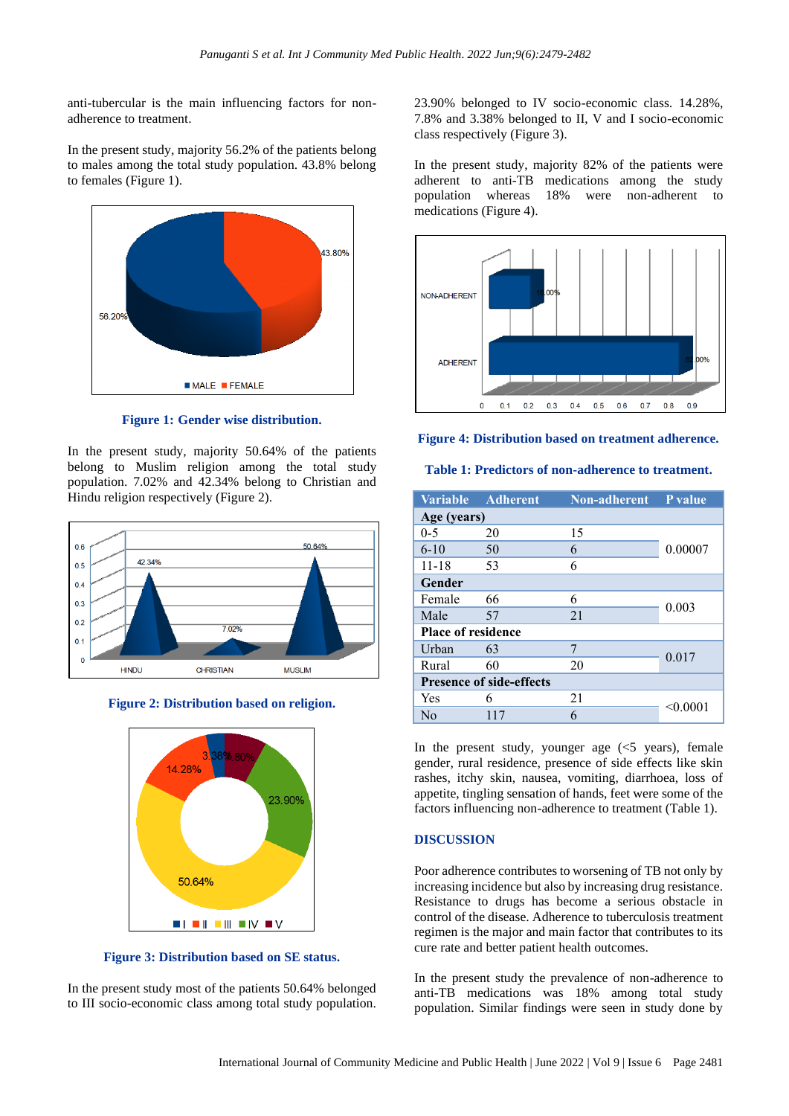anti-tubercular is the main influencing factors for nonadherence to treatment.

In the present study, majority 56.2% of the patients belong to males among the total study population. 43.8% belong to females (Figure 1).



**Figure 1: Gender wise distribution.**

In the present study, majority 50.64% of the patients belong to Muslim religion among the total study population. 7.02% and 42.34% belong to Christian and Hindu religion respectively (Figure 2).



**Figure 2: Distribution based on religion.**



**Figure 3: Distribution based on SE status.**

In the present study most of the patients 50.64% belonged to III socio-economic class among total study population. 23.90% belonged to IV socio-economic class. 14.28%, 7.8% and 3.38% belonged to II, V and I socio-economic class respectively (Figure 3).

In the present study, majority 82% of the patients were adherent to anti-TB medications among the study population whereas 18% were non-adherent to medications (Figure 4).



**Figure 4: Distribution based on treatment adherence.**

**Table 1: Predictors of non-adherence to treatment.**

| <b>Variable</b>                 | <b>Adherent</b> | <b>Non-adherent</b> | P value         |
|---------------------------------|-----------------|---------------------|-----------------|
| Age (years)                     |                 |                     |                 |
| $0 - 5$                         | 20              | 15                  |                 |
| $6 - 10$                        | 50              | 6                   | 0.00007         |
| $11 - 18$                       | 53              | 6                   |                 |
| Gender                          |                 |                     |                 |
| Female                          | 66              | 6                   | 0.003           |
| Male                            | 57              | 21                  |                 |
| <b>Place of residence</b>       |                 |                     |                 |
| Urban                           | 63              | 7                   | 0.017           |
| Rural                           | 60              | 20                  |                 |
| <b>Presence of side-effects</b> |                 |                     |                 |
| Yes                             | 6               | 21                  | $<$ 0.0001 $\,$ |
| No                              | 117             | 6                   |                 |

In the present study, younger age  $\ll 5$  years), female gender, rural residence, presence of side effects like skin rashes, itchy skin, nausea, vomiting, diarrhoea, loss of appetite, tingling sensation of hands, feet were some of the factors influencing non-adherence to treatment (Table 1).

#### **DISCUSSION**

Poor adherence contributes to worsening of TB not only by increasing incidence but also by increasing drug resistance. Resistance to drugs has become a serious obstacle in control of the disease. Adherence to tuberculosis treatment regimen is the major and main factor that contributes to its cure rate and better patient health outcomes.

In the present study the prevalence of non-adherence to anti-TB medications was 18% among total study population. Similar findings were seen in study done by